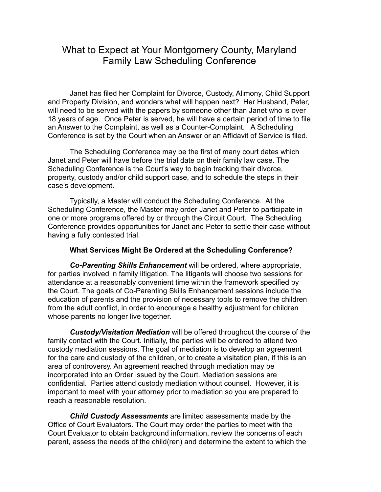# What to Expect at Your Montgomery County, Maryland Family Law Scheduling Conference

Janet has filed her Complaint for Divorce, Custody, Alimony, Child Support and Property Division, and wonders what will happen next? Her Husband, Peter, will need to be served with the papers by someone other than Janet who is over 18 years of age. Once Peter is served, he will have a certain period of time to file an Answer to the Complaint, as well as a Counter-Complaint. A Scheduling Conference is set by the Court when an Answer or an Affidavit of Service is filed.

The Scheduling Conference may be the first of many court dates which Janet and Peter will have before the trial date on their family law case. The Scheduling Conference is the Court's way to begin tracking their divorce, property, custody and/or child support case, and to schedule the steps in their case's development.

Typically, a Master will conduct the Scheduling Conference. At the Scheduling Conference, the Master may order Janet and Peter to participate in one or more programs offered by or through the Circuit Court. The Scheduling Conference provides opportunities for Janet and Peter to settle their case without having a fully contested trial.

#### **What Services Might Be Ordered at the Scheduling Conference?**

*Co-Parenting Skills Enhancement* will be ordered, where appropriate, for parties involved in family litigation. The litigants will choose two sessions for attendance at a reasonably convenient time within the framework specified by the Court. The goals of Co-Parenting Skills Enhancement sessions include the education of parents and the provision of necessary tools to remove the children from the adult conflict, in order to encourage a healthy adjustment for children whose parents no longer live together.

*Custody/Visitation Mediation* will be offered throughout the course of the family contact with the Court. Initially, the parties will be ordered to attend two custody mediation sessions. The goal of mediation is to develop an agreement for the care and custody of the children, or to create a visitation plan, if this is an area of controversy. An agreement reached through mediation may be incorporated into an Order issued by the Court. Mediation sessions are confidential. Parties attend custody mediation without counsel. However, it is important to meet with your attorney prior to mediation so you are prepared to reach a reasonable resolution.

*Child Custody Assessments* are limited assessments made by the Office of Court Evaluators. The Court may order the parties to meet with the Court Evaluator to obtain background information, review the concerns of each parent, assess the needs of the child(ren) and determine the extent to which the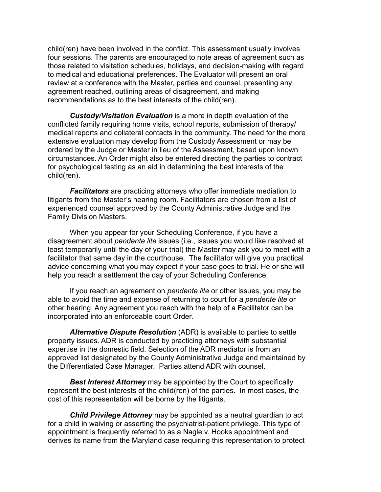child(ren) have been involved in the conflict. This assessment usually involves four sessions. The parents are encouraged to note areas of agreement such as those related to visitation schedules, holidays, and decision-making with regard to medical and educational preferences. The Evaluator will present an oral review at a conference with the Master, parties and counsel, presenting any agreement reached, outlining areas of disagreement, and making recommendations as to the best interests of the child(ren).

*Custody/Visitation Evaluation* is a more in depth evaluation of the conflicted family requiring home visits, school reports, submission of therapy/ medical reports and collateral contacts in the community. The need for the more extensive evaluation may develop from the Custody Assessment or may be ordered by the Judge or Master in lieu of the Assessment, based upon known circumstances. An Order might also be entered directing the parties to contract for psychological testing as an aid in determining the best interests of the child(ren).

*Facilitators* are practicing attorneys who offer immediate mediation to litigants from the Master's hearing room. Facilitators are chosen from a list of experienced counsel approved by the County Administrative Judge and the Family Division Masters.

When you appear for your Scheduling Conference, if you have a disagreement about *pendente lite* issues (i.e., issues you would like resolved at least temporarily until the day of your trial) the Master may ask you to meet with a facilitator that same day in the courthouse. The facilitator will give you practical advice concerning what you may expect if your case goes to trial. He or she will help you reach a settlement the day of your Scheduling Conference.

If you reach an agreement on *pendente lite* or other issues, you may be able to avoid the time and expense of returning to court for a *pendente lite* or other hearing. Any agreement you reach with the help of a Facilitator can be incorporated into an enforceable court Order.

*Alternative Dispute Resolution* (ADR) is available to parties to settle property issues. ADR is conducted by practicing attorneys with substantial expertise in the domestic field. Selection of the ADR mediator is from an approved list designated by the County Administrative Judge and maintained by the Differentiated Case Manager. Parties attend ADR with counsel.

*Best Interest Attorney* may be appointed by the Court to specifically represent the best interests of the child(ren) of the parties. In most cases, the cost of this representation will be borne by the litigants.

*Child Privilege Attorney* may be appointed as a neutral guardian to act for a child in waiving or asserting the psychiatrist-patient privilege. This type of appointment is frequently referred to as a Nagle v. Hooks appointment and derives its name from the Maryland case requiring this representation to protect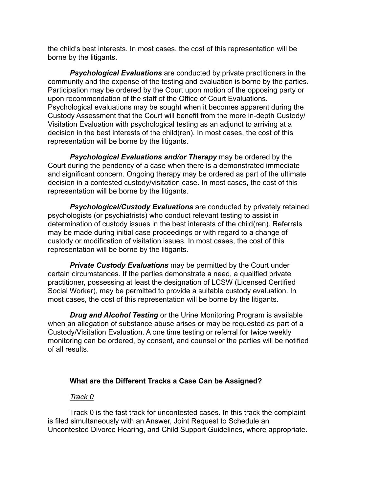the child's best interests. In most cases, the cost of this representation will be borne by the litigants.

**Psychological Evaluations** are conducted by private practitioners in the community and the expense of the testing and evaluation is borne by the parties. Participation may be ordered by the Court upon motion of the opposing party or upon recommendation of the staff of the Office of Court Evaluations. Psychological evaluations may be sought when it becomes apparent during the Custody Assessment that the Court will benefit from the more in-depth Custody/ Visitation Evaluation with psychological testing as an adjunct to arriving at a decision in the best interests of the child(ren). In most cases, the cost of this representation will be borne by the litigants.

*Psychological Evaluations and/or Therapy* may be ordered by the Court during the pendency of a case when there is a demonstrated immediate and significant concern. Ongoing therapy may be ordered as part of the ultimate decision in a contested custody/visitation case. In most cases, the cost of this representation will be borne by the litigants.

*Psychological/Custody Evaluations* are conducted by privately retained psychologists (or psychiatrists) who conduct relevant testing to assist in determination of custody issues in the best interests of the child(ren). Referrals may be made during initial case proceedings or with regard to a change of custody or modification of visitation issues. In most cases, the cost of this representation will be borne by the litigants.

**Private Custody Evaluations** may be permitted by the Court under certain circumstances. If the parties demonstrate a need, a qualified private practitioner, possessing at least the designation of LCSW (Licensed Certified Social Worker), may be permitted to provide a suitable custody evaluation. In most cases, the cost of this representation will be borne by the litigants.

*Drug and Alcohol Testing* or the Urine Monitoring Program is available when an allegation of substance abuse arises or may be requested as part of a Custody/Visitation Evaluation. A one time testing or referral for twice weekly monitoring can be ordered, by consent, and counsel or the parties will be notified of all results.

#### **What are the Different Tracks a Case Can be Assigned?**

#### *Track 0*

Track 0 is the fast track for uncontested cases. In this track the complaint is filed simultaneously with an Answer, Joint Request to Schedule an Uncontested Divorce Hearing, and Child Support Guidelines, where appropriate.